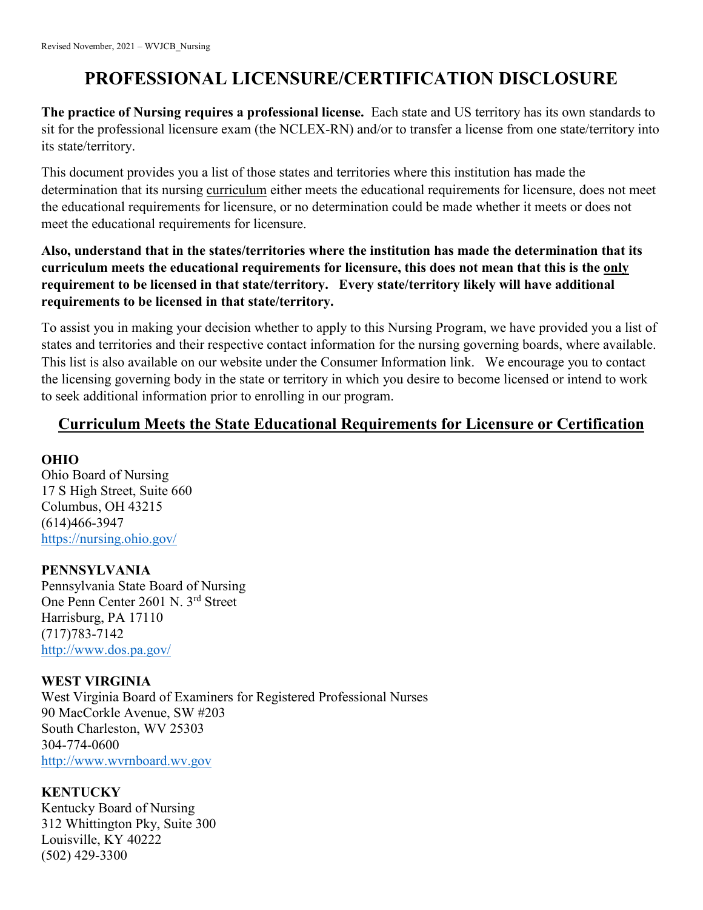# **PROFESSIONAL LICENSURE/CERTIFICATION DISCLOSURE**

**The practice of Nursing requires a professional license.** Each state and US territory has its own standards to sit for the professional licensure exam (the NCLEX-RN) and/or to transfer a license from one state/territory into its state/territory.

This document provides you a list of those states and territories where this institution has made the determination that its nursing curriculum either meets the educational requirements for licensure, does not meet the educational requirements for licensure, or no determination could be made whether it meets or does not meet the educational requirements for licensure.

# **Also, understand that in the states/territories where the institution has made the determination that its curriculum meets the educational requirements for licensure, this does not mean that this is the only requirement to be licensed in that state/territory. Every state/territory likely will have additional requirements to be licensed in that state/territory.**

To assist you in making your decision whether to apply to this Nursing Program, we have provided you a list of states and territories and their respective contact information for the nursing governing boards, where available. This list is also available on our website under the Consumer Information link. We encourage you to contact the licensing governing body in the state or territory in which you desire to become licensed or intend to work to seek additional information prior to enrolling in our program.

# **Curriculum Meets the State Educational Requirements for Licensure or Certification**

# **OHIO**

Ohio Board of Nursing 17 S High Street, Suite 660 Columbus, OH 43215 (614)466-3947 <https://nursing.ohio.gov/>

# **PENNSYLVANIA**

Pennsylvania State Board of Nursing One Penn Center 2601 N. 3rd Street Harrisburg, PA 17110 (717)783-7142 <http://www.dos.pa.gov/>

# **WEST VIRGINIA**

West Virginia Board of Examiners for Registered Professional Nurses 90 MacCorkle Avenue, SW #203 South Charleston, WV 25303 304-774-0600 [http://www.wvrnboard.wv.gov](http://www.wvrnboard.wv.gov/)

# **KENTUCKY**

Kentucky Board of Nursing 312 Whittington Pky, Suite 300 Louisville, KY 40222 (502) 429-3300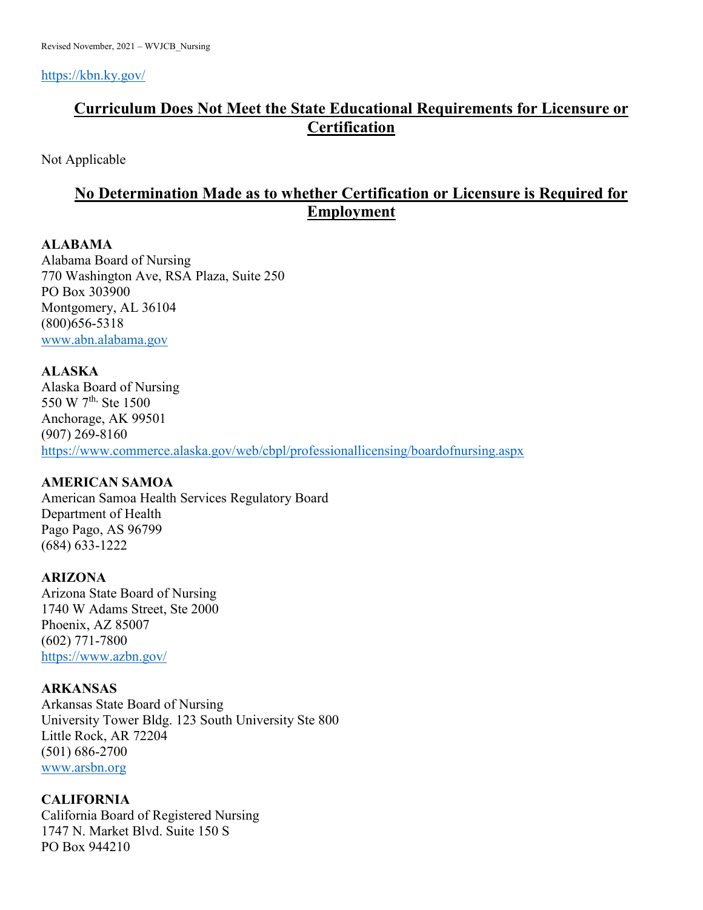<https://kbn.ky.gov/>

# **Curriculum Does Not Meet the State Educational Requirements for Licensure or Certification**

Not Applicable

# **No Determination Made as to whether Certification or Licensure is Required for Employment**

# **ALABAMA**

Alabama Board of Nursing 770 Washington Ave, RSA Plaza, Suite 250 PO Box 303900 Montgomery, AL 36104 (800)656-5318 [www.abn.alabama.gov](http://www.abn.alabama.gov/)

# **ALASKA**

Alaska Board of Nursing 550 W 7<sup>th,</sup> Ste 1500 Anchorage, AK 99501 (907) 269-8160 <https://www.commerce.alaska.gov/web/cbpl/professionallicensing/boardofnursing.aspx>

# **AMERICAN SAMOA**

American Samoa Health Services Regulatory Board Department of Health Pago Pago, AS 96799 (684) 633-1222

# **ARIZONA**

Arizona State Board of Nursing 1740 W Adams Street, Ste 2000 Phoenix, AZ 85007 (602) 771-7800 <https://www.azbn.gov/>

# **ARKANSAS**

Arkansas State Board of Nursing University Tower Bldg. 123 South University Ste 800 Little Rock, AR 72204 (501) 686-2700 [www.arsbn.org](http://www.arsbn.org/)

# **CALIFORNIA**

California Board of Registered Nursing 1747 N. Market Blvd. Suite 150 S PO Box 944210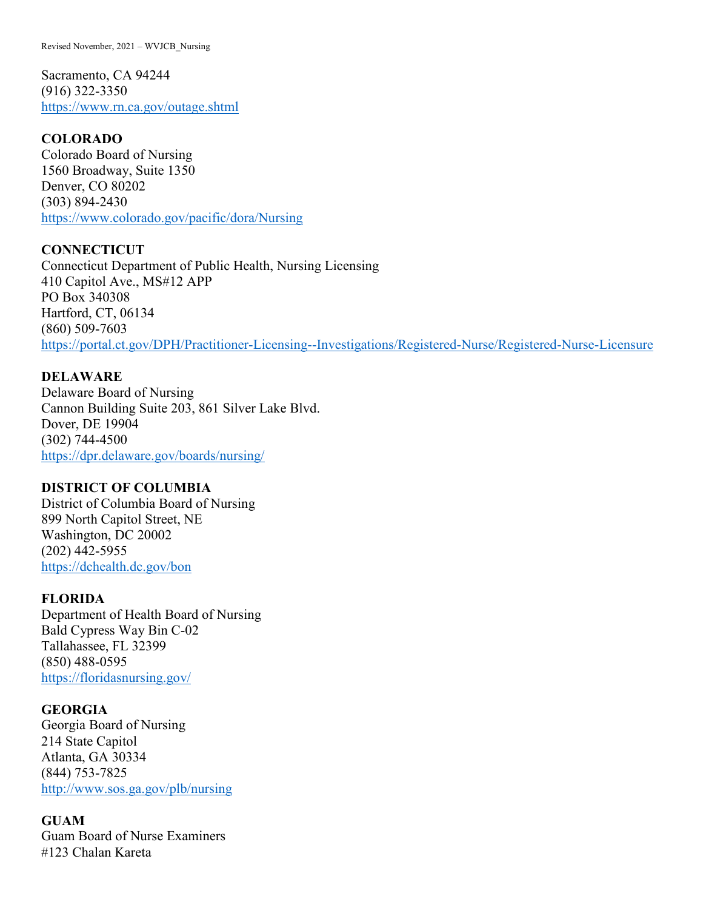Revised November, 2021 – WVJCB\_Nursing

Sacramento, CA 94244 (916) 322-3350 <https://www.rn.ca.gov/outage.shtml>

### **COLORADO**

Colorado Board of Nursing 1560 Broadway, Suite 1350 Denver, CO 80202 (303) 894-2430 <https://www.colorado.gov/pacific/dora/Nursing>

**CONNECTICUT**  Connecticut Department of Public Health, Nursing Licensing 410 Capitol Ave., MS#12 APP PO Box 340308 Hartford, CT, 06134 (860) 509-7603 <https://portal.ct.gov/DPH/Practitioner-Licensing--Investigations/Registered-Nurse/Registered-Nurse-Licensure>

## **DELAWARE**

Delaware Board of Nursing Cannon Building Suite 203, 861 Silver Lake Blvd. Dover, DE 19904 (302) 744-4500 <https://dpr.delaware.gov/boards/nursing/>

### **DISTRICT OF COLUMBIA**

District of Columbia Board of Nursing 899 North Capitol Street, NE Washington, DC 20002 (202) 442-5955 <https://dchealth.dc.gov/bon>

### **FLORIDA**

Department of Health Board of Nursing Bald Cypress Way Bin C-02 Tallahassee, FL 32399 (850) 488-0595 <https://floridasnursing.gov/>

### **GEORGIA**

Georgia Board of Nursing 214 State Capitol Atlanta, GA 30334 (844) 753-7825 <http://www.sos.ga.gov/plb/nursing>

### **GUAM**

Guam Board of Nurse Examiners #123 Chalan Kareta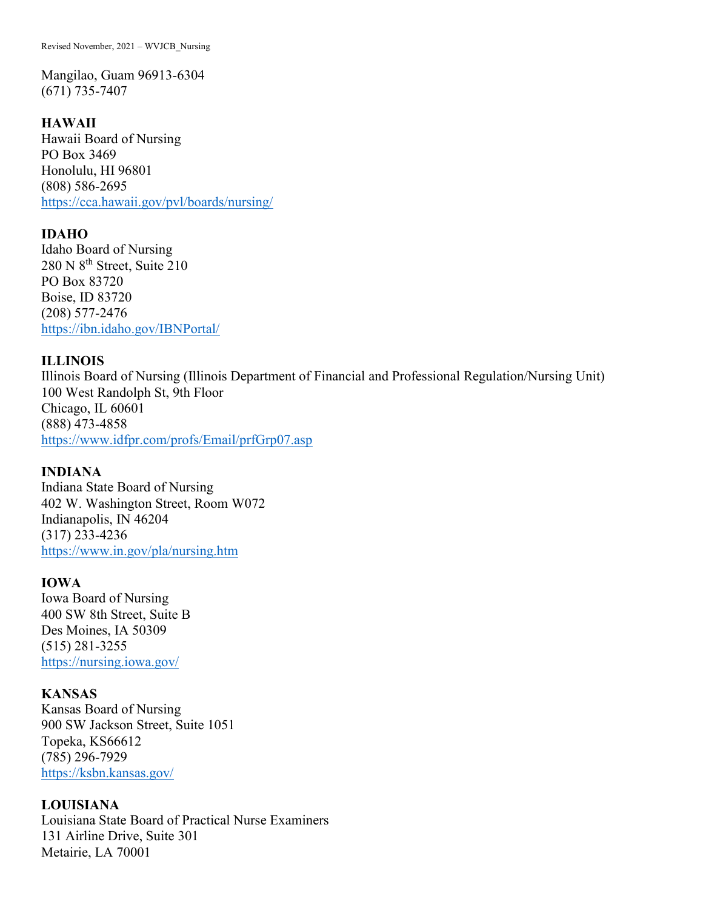Mangilao, Guam 96913-6304 (671) 735-7407

### **HAWAII**

Hawaii Board of Nursing PO Box 3469 Honolulu, HI 96801 (808) 586-2695 <https://cca.hawaii.gov/pvl/boards/nursing/>

### **IDAHO**

Idaho Board of Nursing 280 N  $8<sup>th</sup>$  Street, Suite 210 PO Box 83720 Boise, ID 83720 (208) 577-2476 <https://ibn.idaho.gov/IBNPortal/>

### **ILLINOIS**

Illinois Board of Nursing (Illinois Department of Financial and Professional Regulation/Nursing Unit) 100 West Randolph St, 9th Floor Chicago, IL 60601 (888) 473-4858 <https://www.idfpr.com/profs/Email/prfGrp07.asp>

### **INDIANA**

Indiana State Board of Nursing 402 W. Washington Street, Room W072 Indianapolis, IN 46204 (317) 233-4236 <https://www.in.gov/pla/nursing.htm>

### **IOWA**

Iowa Board of Nursing 400 SW 8th Street, Suite B Des Moines, IA 50309 (515) 281-3255 <https://nursing.iowa.gov/>

### **KANSAS**

Kansas Board of Nursing 900 SW Jackson Street, Suite 1051 Topeka, KS66612 (785) 296-7929 <https://ksbn.kansas.gov/>

## **LOUISIANA**

Louisiana State Board of Practical Nurse Examiners 131 Airline Drive, Suite 301 Metairie, LA 70001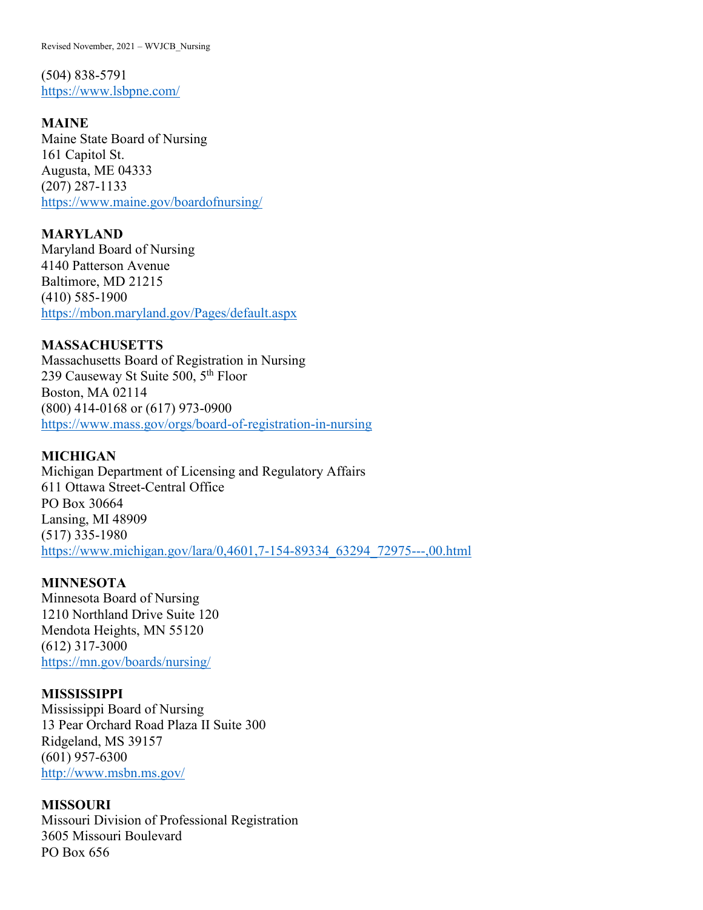Revised November, 2021 – WVJCB\_Nursing

(504) 838-5791 <https://www.lsbpne.com/>

**MAINE**

Maine State Board of Nursing 161 Capitol St. Augusta, ME 04333 (207) 287-1133 <https://www.maine.gov/boardofnursing/>

**MARYLAND**  Maryland Board of Nursing 4140 Patterson Avenue Baltimore, MD 21215 (410) 585-1900 <https://mbon.maryland.gov/Pages/default.aspx>

**MASSACHUSETTS**  Massachusetts Board of Registration in Nursing 239 Causeway St Suite 500, 5<sup>th</sup> Floor Boston, MA 02114 (800) 414-0168 or (617) 973-0900 <https://www.mass.gov/orgs/board-of-registration-in-nursing>

### **MICHIGAN**

Michigan Department of Licensing and Regulatory Affairs 611 Ottawa Street-Central Office PO Box 30664 Lansing, MI 48909 (517) 335-1980 [https://www.michigan.gov/lara/0,4601,7-154-89334\\_63294\\_72975---,00.html](https://www.michigan.gov/lara/0,4601,7-154-89334_63294_72975---,00.html)

### **MINNESOTA**

Minnesota Board of Nursing 1210 Northland Drive Suite 120 Mendota Heights, MN 55120 (612) 317-3000 <https://mn.gov/boards/nursing/>

### **MISSISSIPPI**

Mississippi Board of Nursing 13 Pear Orchard Road Plaza II Suite 300 Ridgeland, MS 39157 (601) 957-6300 <http://www.msbn.ms.gov/>

#### **MISSOURI**

Missouri Division of Professional Registration 3605 Missouri Boulevard PO Box 656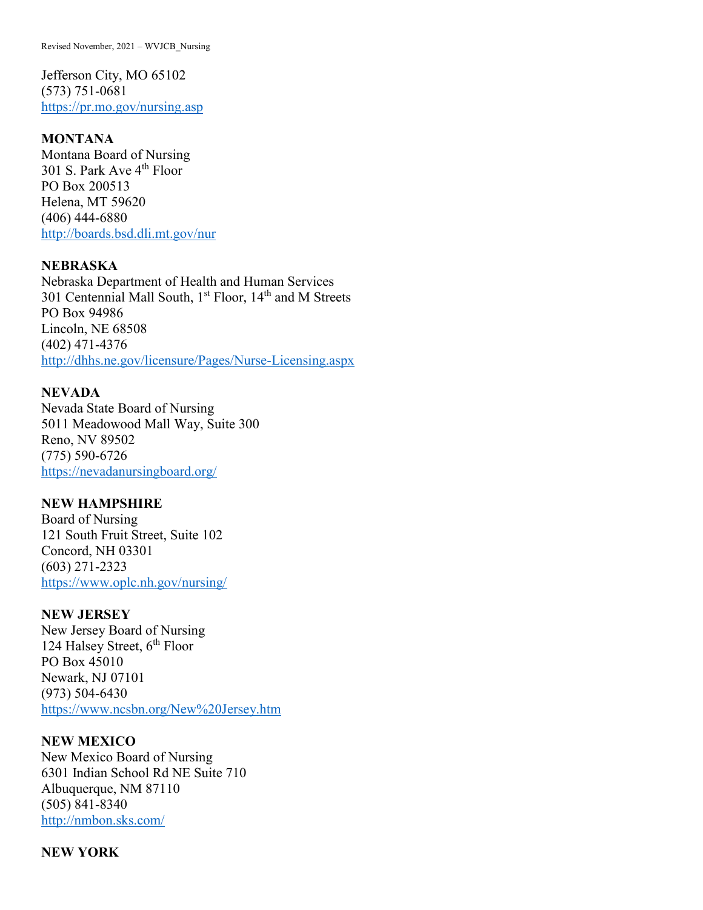Revised November, 2021 – WVJCB\_Nursing

Jefferson City, MO 65102 (573) 751-0681 <https://pr.mo.gov/nursing.asp>

#### **MONTANA**

Montana Board of Nursing 301 S. Park Ave 4<sup>th</sup> Floor PO Box 200513 Helena, MT 59620 (406) 444-6880 <http://boards.bsd.dli.mt.gov/nur>

### **NEBRASKA**

Nebraska Department of Health and Human Services 301 Centennial Mall South, 1<sup>st</sup> Floor, 14<sup>th</sup> and M Streets PO Box 94986 Lincoln, NE 68508 (402) 471-4376 <http://dhhs.ne.gov/licensure/Pages/Nurse-Licensing.aspx>

### **NEVADA**

Nevada State Board of Nursing 5011 Meadowood Mall Way, Suite 300 Reno, NV 89502 (775) 590-6726 <https://nevadanursingboard.org/>

#### **NEW HAMPSHIRE**

Board of Nursing 121 South Fruit Street, Suite 102 Concord, NH 03301 (603) 271-2323 <https://www.oplc.nh.gov/nursing/>

## **NEW JERSEY**

New Jersey Board of Nursing 124 Halsey Street,  $6<sup>th</sup>$  Floor PO Box 45010 Newark, NJ 07101 (973) 504-6430 <https://www.ncsbn.org/New%20Jersey.htm>

#### **NEW MEXICO**

New Mexico Board of Nursing 6301 Indian School Rd NE Suite 710 Albuquerque, NM 87110 (505) 841-8340 <http://nmbon.sks.com/>

#### **NEW YORK**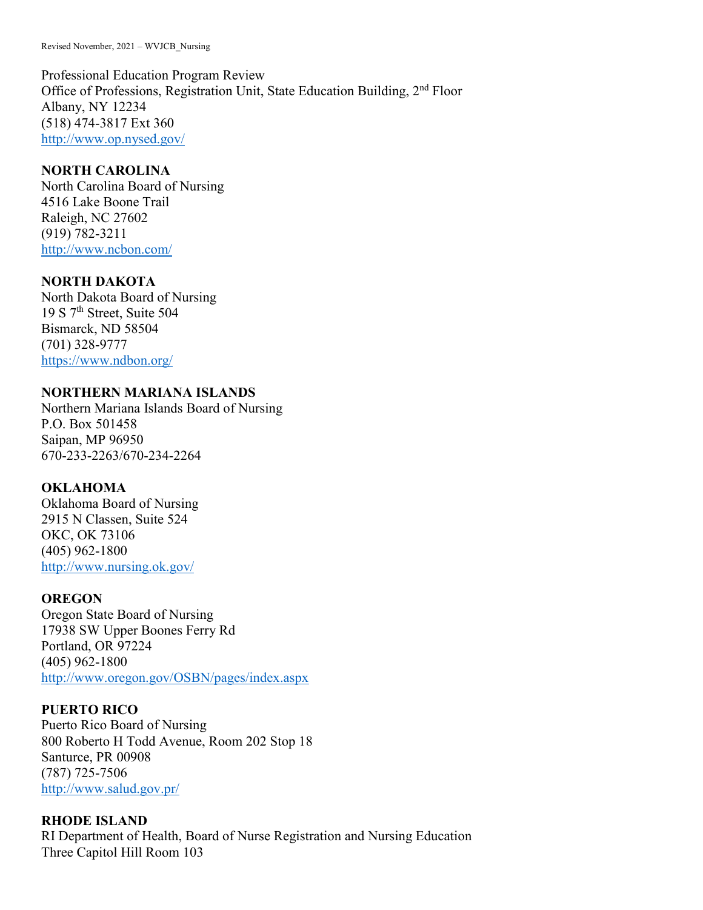Professional Education Program Review Office of Professions, Registration Unit, State Education Building, 2nd Floor Albany, NY 12234 (518) 474-3817 Ext 360 <http://www.op.nysed.gov/>

# **NORTH CAROLINA**

North Carolina Board of Nursing 4516 Lake Boone Trail Raleigh, NC 27602 (919) 782-3211 <http://www.ncbon.com/>

# **NORTH DAKOTA**

North Dakota Board of Nursing 19 S 7th Street, Suite 504 Bismarck, ND 58504 (701) 328-9777 <https://www.ndbon.org/>

# **NORTHERN MARIANA ISLANDS**

Northern Mariana Islands Board of Nursing P.O. Box 501458 Saipan, MP 96950 670-233-2263/670-234-2264

# **OKLAHOMA**

Oklahoma Board of Nursing 2915 N Classen, Suite 524 OKC, OK 73106 (405) 962-1800 <http://www.nursing.ok.gov/>

### **OREGON**

Oregon State Board of Nursing 17938 SW Upper Boones Ferry Rd Portland, OR 97224 (405) 962-1800 <http://www.oregon.gov/OSBN/pages/index.aspx>

### **PUERTO RICO**

Puerto Rico Board of Nursing 800 Roberto H Todd Avenue, Room 202 Stop 18 Santurce, PR 00908 (787) 725-7506 <http://www.salud.gov.pr/>

# **RHODE ISLAND**

RI Department of Health, Board of Nurse Registration and Nursing Education Three Capitol Hill Room 103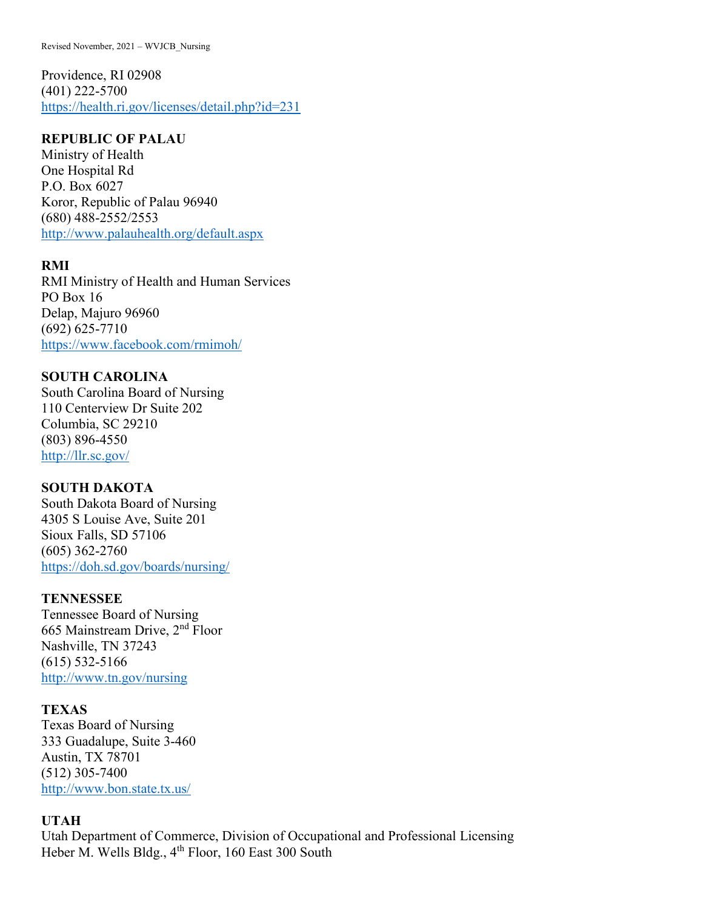Providence, RI 02908 (401) 222-5700 <https://health.ri.gov/licenses/detail.php?id=231>

## **REPUBLIC OF PALAU**

Ministry of Health One Hospital Rd P.O. Box 6027 Koror, Republic of Palau 96940 (680) 488-2552/2553 <http://www.palauhealth.org/default.aspx>

# **RMI**

RMI Ministry of Health and Human Services PO Box 16 Delap, Majuro 96960 (692) 625-7710 <https://www.facebook.com/rmimoh/>

## **SOUTH CAROLINA**

South Carolina Board of Nursing 110 Centerview Dr Suite 202 Columbia, SC 29210 (803) 896-4550 <http://llr.sc.gov/>

# **SOUTH DAKOTA**

South Dakota Board of Nursing 4305 S Louise Ave, Suite 201 Sioux Falls, SD 57106 (605) 362-2760 <https://doh.sd.gov/boards/nursing/>

# **TENNESSEE**

Tennessee Board of Nursing 665 Mainstream Drive, 2nd Floor Nashville, TN 37243 (615) 532-5166 <http://www.tn.gov/nursing>

## **TEXAS**

Texas Board of Nursing 333 Guadalupe, Suite 3-460 Austin, TX 78701 (512) 305-7400 <http://www.bon.state.tx.us/>

# **UTAH**

Utah Department of Commerce, Division of Occupational and Professional Licensing Heber M. Wells Bldg., 4<sup>th</sup> Floor, 160 East 300 South